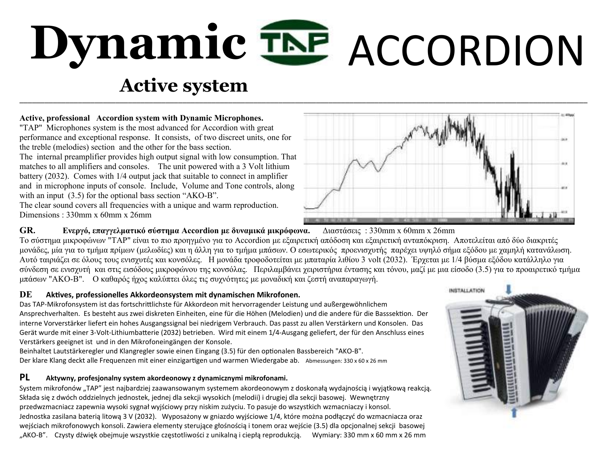# Dynamic TNP ACCORDION **Dynamic**

# \_\_\_\_\_\_\_\_\_\_\_\_\_\_\_\_\_\_\_\_\_\_\_\_\_\_\_\_\_\_\_\_\_\_\_\_\_\_\_\_\_\_\_\_\_\_\_\_\_\_\_\_\_\_\_\_\_\_\_\_\_\_\_\_\_\_\_\_\_\_\_\_\_\_\_\_\_\_\_\_\_\_\_\_\_\_\_\_\_\_\_\_\_\_\_\_\_\_\_\_\_\_\_\_\_\_\_\_\_\_\_\_\_\_\_\_\_\_\_\_\_\_\_\_\_\_\_\_\_\_\_\_\_\_\_\_  **Active system**

#### **Active, professional Accordion system with Dynamic Microphones.**

"TAP" Microphones system is the most advanced for Accordion with great performance and exceptional response. It consists, of two discreet units, one for the treble (melodies) section and the other for the bass section.

The internal preamplifier provides high output signal with low consumption. That matches to all amplifiers and consoles. The unit powered with a 3 Volt lithium battery (2032). Comes with 1/4 output jack that suitable to connect in amplifier and in microphone inputs of console. Include, Volume and Tone controls, along with an input  $(3.5)$  for the optional bass section "AKO-B".

The clear sound covers all frequencies with a unique and warm reproduction. Dimensions : 330mm x 60mm x 26mm

#### **GR. Ενεργό, επαγγελματικό σύστημα Accordion με δυναμικά μικρόφωνα.** Διαστάσεις : 330mm x 60mm x 26mm

Το σύστημα μικροφώνων "TAP" είναι το πιο προηγμένο για το Accordion με εξαιρετική απόδοση και εξαιρετική ανταπόκριση. Αποτελείται από δύο διακριτές μονάδες, μία για το τμήμα πρίμων (μελωδίες) και η άλλη για το τμήμα μπάσων. Ο εσωτερικός προενισχυτής παρέχει υψηλό σήμα εξόδου με χαμηλή κατανάλωση. Αυτό ταιριάζει σε όλους τους ενισχυτές και κονσόλες. Η μονάδα τροφοδοτείται με μπαταρία λιθίου 3 volt (2032). Έρχεται με 1/4 βύσμα εξόδου κατάλληλο για σύνδεση σε ενισχυτή και στις εισόδους μικροφώνου της κονσόλας. Περιλαμβάνει χειριστήρια έντασης και τόνου, μαζί με μια είσοδο (3.5) για το προαιρετικό τμήμα μπάσων "AKO-B". Ο καθαρός ήχος καλύπτει όλες τις συχνότητες με μοναδική και ζεστή αναπαραγωγή.

#### **DE Aktives, professionelles Akkordeonsystem mit dynamischen Mikrofonen.**

Das TAP-Mikrofonsystem ist das fortschrittlichste für Akkordeon mit hervorragender Leistung und außergewöhnlichem Ansprechverhalten. Es besteht aus zwei diskreten Einheiten, eine für die Höhen (Melodien) und die andere für die Basssektion. Der interne Vorverstärker liefert ein hohes Ausgangssignal bei niedrigem Verbrauch. Das passt zu allen Verstärkern und Konsolen. Das Gerät wurde mit einer 3-Volt-Lithiumbatterie (2032) betrieben. Wird mit einem 1/4-Ausgang geliefert, der für den Anschluss eines Verstärkers geeignet ist und in den Mikrofoneingängen der Konsole.

Beinhaltet Lautstärkeregler und Klangregler sowie einen Eingang (3.5) für den optionalen Bassbereich "AKO-B". Der klare Klang deckt alle Frequenzen mit einer einzigartigen und warmen Wiedergabe ab. Abmessungen: 330 x 60 x 26 mm

#### **PL Aktywny, profesjonalny system akordeonowy z dynamicznymi mikrofonami.**

System mikrofonów "TAP" jest najbardziej zaawansowanym systemem akordeonowym z doskonałą wydajnością i wyjątkową reakcją. Składa się z dwóch oddzielnych jednostek, jednej dla sekcji wysokich (melodii) i drugiej dla sekcji basowej. Wewnętrzny przedwzmacniacz zapewnia wysoki sygnał wyjściowy przy niskim zużyciu. To pasuje do wszystkich wzmacniaczy i konsol. Jednostka zasilana baterią litową 3 V (2032). Wyposażony w gniazdo wyjściowe 1/4, które można podłączyć do wzmacniacza oraz wejściach mikrofonowych konsoli. Zawiera elementy sterujące głośnością i tonem oraz wejście (3.5) dla opcjonalnej sekcji basowej "AKO-B". Czysty dźwięk obejmuje wszystkie częstotliwości z unikalną i ciepłą reprodukcją. Wymiary: 330 mm x 60 mm x 26 mm